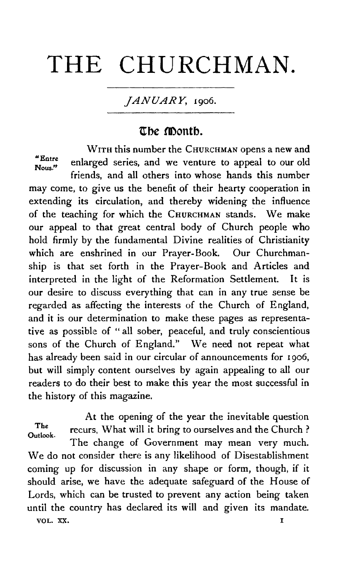# THE **CHURCHMAN.**

## *JANUARY,* 1906.

# **ttbe montb.**

WITH this number the CHURCHMAN opens a new and "Entre enlarged series, and we venture to appeal to our old

friends, and all others into whose hands this number may come, to give us the benefit of their hearty cooperation in extending its circulation. and thereby widening the influence of the teaching for which the CHURCHMAN stands. We make our appeal to that great central body of Church people who hold firmly by the fundamental Divine realities of Christianity which are enshrined in our Prayer-Book. Our Churchmanship is that set forth in the Prayer-Book and Articles and interpreted in the light of the Reformation Settlement. It is our desire to discuss everything that can in any true sense be regarded as affecting the interests of the Church of England, and it is our determination to make these pages as representative as possible of "all sober, peaceful, and truly conscientious sons of the Church of England." We need not repeat what has already been said in our circular of announcements for 1906, but will simply content ourselves by again appealing to all our readers to do their best to make this year the most successful in the history of this magazine.

At the opening of the year the inevitable question The recurs, What will it bring to ourselves and the Church? The change of Government may mean very much. We do not consider there is any likelihood of Disestablishment coming up for discussion in any shape or form, though, if it should arise, we have the adequate safeguard of the House of Lords, which can be trusted to prevent any action being taken until the country has declared its will and given its mandate. VOL. XX. I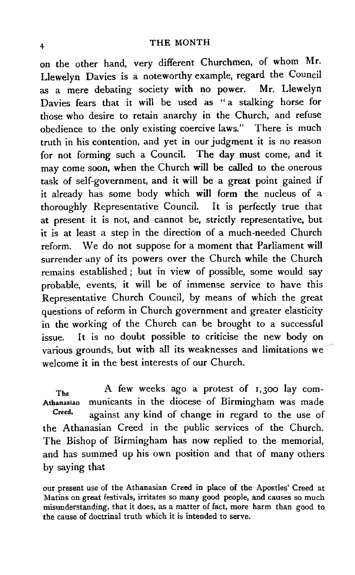### 4 THE MONTH

on the other hand, very different Churchmen, of whom Mr. Llewelyn Davies is a noteworthy example, regard the Council as a mere debating society with no power. Mr. Llewelyn Davies fears that it will be used as " a stalking horse for those who desire to retain anarchy in the Church, and refuse obedience to the only existing coercive laws." There is much truth in his contention, and yet in our judgment it is no reason for not forming such a Council. The day must come, and it may come soon, when the Church will be called to the onerous task of self-government, and it will be a great point gained if it already has some body which will form the nucleus of a thoroughly Representative Council. It is perfectly true that at present it is not, and cannot be, strictly representative, but it is at least a step in the direction of a much -needed Church reform. We do not suppose for a moment that Parliament will surrender any of its powers over the Church while the Church remains established ; but in view of possible, some would say probable, events, it will be of immense service to have this Representative Church Council, by means of which the great questions of reform in Church government and greater elasticity in the working of the Church can be brought to a successful issue. It is no doubt possible to criticise the new body on various grounds, but with all its weaknesses and limitations we welcome it in the best interests of our Church.

 $T<sub>he</sub>$  A few weeks ago a protest of  $I,300$  lay com-Athanasian municants in the diocese of Birmingham was made Creed. against any kind of change in regard to the use of the Athanasian Creed in the public services of the Church. The Bishop of Birmingham has now replied to the memorial, and has summed up his own position and that of many others by saying that

our present use of the Athanasian Creed in place of the Apostles' Creed at Matins on great festivals, irritates so many good people, and causes so much misunderstanding, that it does, as a matter of fact, more harm than good to the cause of doctrinal truth which it is intended to serve.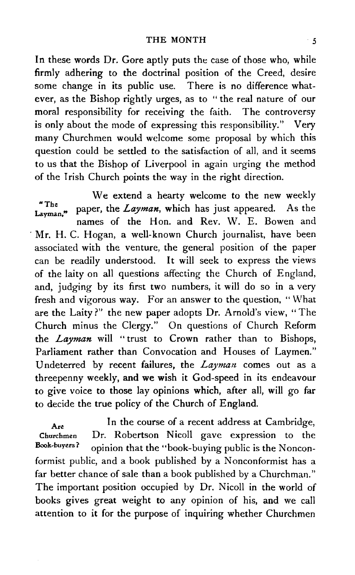In these words Dr. Gore aptly puts the case of those who, while firmly adhering to the doctrinal position of the Creed, desire some change in its public use. There is no difference whatever, as the Bishop rightly urges, as to " the real nature of our moral responsibility for receiving the faith. The controversy is only about the mode of expressing this responsibility." Very many Churchmen would welcome some proposal by which this question could be settled to the satisfaction of all, and it seems to us that the Bishop of Liverpool in again urging the method of the Irish Church points the way in the right direction.

We extend a hearty welcome to the new weekly The paper, the *Layman*, which has just appeared. As the Layman." names of the Hon. and Rev. W. E. Bowen and Mr. H. C. Hogan, a well-known Church journalist, have been associated with the venture, the general position of the paper can be readily understood. It will seek to express the views of the laity on all questions affecting the Church of England, and, judging by its first two numbers, it will do so in a very fresh and vigorous way. For an answer to the question, "What are the Laity?" the new paper adopts Dr. Arnold's view, "The Church minus the Clergy." On questions of Church Reform the *Layman* will "trust to Crown rather than to Bishops, Parliament rather than Convocation and Houses of Laymen." Undeterred by recent failures, the *Layman* comes out as a threepenny weekly, and we wish it God-speed in its endeavour to give voice to those lay opinions which, after all, will go far to decide the true policy of the Church of England.

Are In the course of a recent address at Cambridge, Churchmen Dr. Robertson Nicoll gave expression to the Book-buyers? opinion that the "book-buying public is the Nonconformist public, and a book published by a Nonconformist has a far better chance of sale than a book published by a Churchman." The important position occupied by Dr. Nicoll in the world of books gives great weight to any opinion of his, and we call attention to it for the purpose of inquiring whether Churchmen